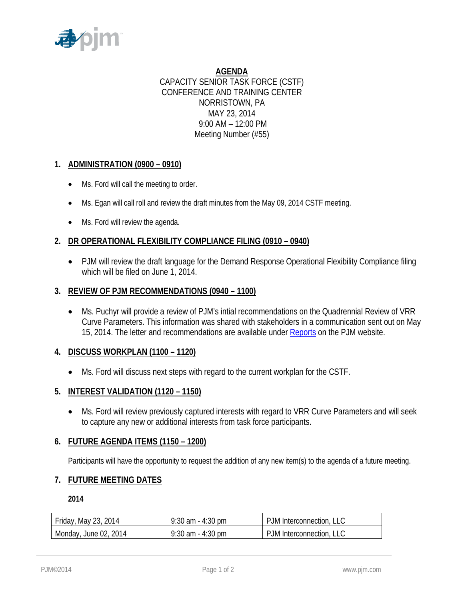

**AGENDA** CAPACITY SENIOR TASK FORCE (CSTF) CONFERENCE AND TRAINING CENTER NORRISTOWN, PA MAY 23, 2014 9:00 AM – 12:00 PM Meeting Number (#55)

# **1. ADMINISTRATION (0900 – 0910)**

- Ms. Ford will call the meeting to order.
- Ms. Egan will call roll and review the draft minutes from the May 09, 2014 CSTF meeting.
- Ms. Ford will review the agenda.

## **2. DR OPERATIONAL FLEXIBILITY COMPLIANCE FILING (0910 – 0940)**

• PJM will review the draft language for the Demand Response Operational Flexibility Compliance filing which will be filed on June 1, 2014.

#### **3. REVIEW OF PJM RECOMMENDATIONS (0940 – 1100)**

• Ms. Puchyr will provide a review of PJM's intial recommendations on the Quadrennial Review of VRR Curve Parameters. This information was shared with stakeholders in a communication sent out on May 15, 2014. The letter and recommendations are available unde[r Reports](http://www.pjm.com/~/media/documents/reports/20140515-pjm-preliminary-recommendations-vrr-curve-parameters.ashx) on the PJM website.

#### **4. DISCUSS WORKPLAN (1100 – 1120)**

• Ms. Ford will discuss next steps with regard to the current workplan for the CSTF.

### **5. INTEREST VALIDATION (1120 – 1150)**

• Ms. Ford will review previously captured interests with regard to VRR Curve Parameters and will seek to capture any new or additional interests from task force participants.

#### **6. FUTURE AGENDA ITEMS (1150 – 1200)**

Participants will have the opportunity to request the addition of any new item(s) to the agenda of a future meeting.

## **7. FUTURE MEETING DATES**

**2014**

| Friday, May 23, 2014  | $9:30$ am $-4:30$ pm | PJM Interconnection, LLC |
|-----------------------|----------------------|--------------------------|
| Monday, June 02, 2014 | $9:30$ am $-4:30$ pm | PJM Interconnection, LLC |